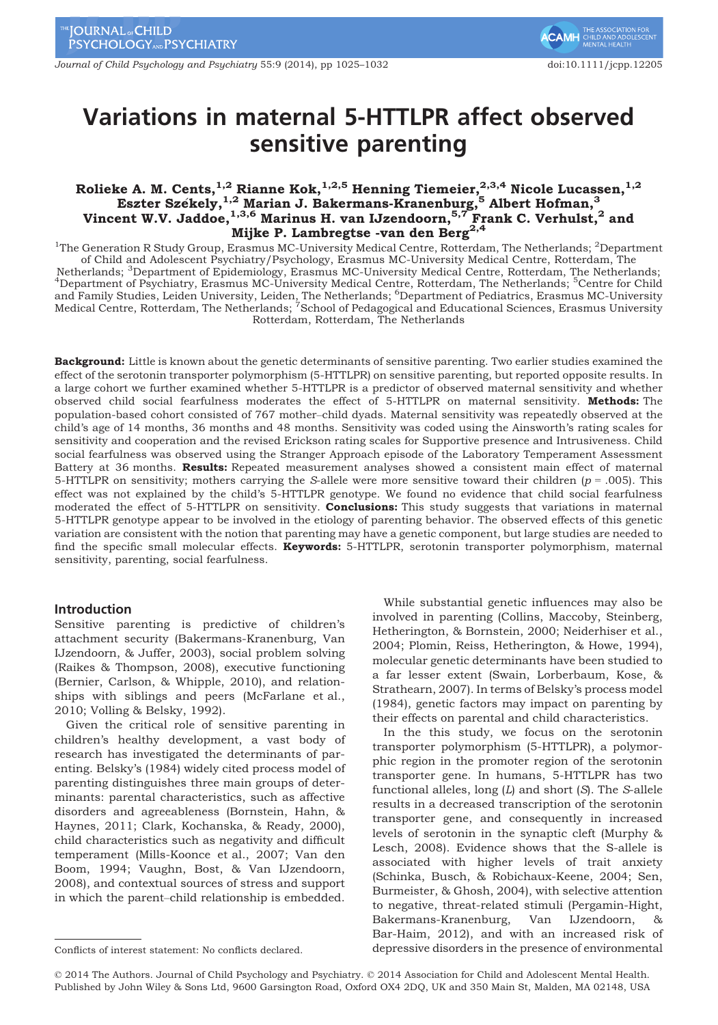Journal of Child Psychology and Psychiatry 55:9 (2014), pp 1025–1032 doi:10.1111/jcpp.12205

# Variations in maternal 5-HTTLPR affect observed sensitive parenting

# Rolieke A. M. Cents,  $^{1,2}$  Rianne Kok,  $^{1,2,5}$  Henning Tiemeier,  $^{2,3,4}$  Nicole Lucassen,  $^{1,2}$ Eszter Székely,  $^{1,2}$  Marian J. Bakermans-Kranenburg,  $^5$  Albert Hofman,  $^3$ Vincent W.V. Jaddoe, $^{1,3,6}$  Marinus H. van IJzendoorn, $^{5,7}$  Frank C. Verhulst, $^2$  and Mijke P. Lambregtse -van den Berg<sup>2,4</sup>

<sup>1</sup>The Generation R Study Group, Erasmus MC-University Medical Centre, Rotterdam, The Netherlands; <sup>2</sup>Department of Child and Adolescent Psychiatry/Psychology, Erasmus MC-University Medical Centre, Rotterdam, The Netherlands; <sup>3</sup>Department of Epidemiology, Erasmus MC-University Medical Centre, Rotterdam, The Netherlands; <sup>4</sup>Department of Psychiatry, Frasmus MC-University Medical Centre, Rotterdam, The Netherlands; <sup>5</sup>Centre for Chi Department of Psychiatry, Erasmus MC-University Medical Centre, Rotterdam, The Netherlands; <sup>5</sup>Centre for Child and Family Studies, Leiden University, Leiden, The Netherlands; <sup>6</sup>Department of Pediatrics, Erasmus MC-University<br>Medical Centre, Rotterdam, The Netherlands; <sup>7</sup>School of Pedagogical and Educational Sciences, Erasmus Univ Rotterdam, Rotterdam, The Netherlands

Background: Little is known about the genetic determinants of sensitive parenting. Two earlier studies examined the effect of the serotonin transporter polymorphism (5-HTTLPR) on sensitive parenting, but reported opposite results. In a large cohort we further examined whether 5-HTTLPR is a predictor of observed maternal sensitivity and whether observed child social fearfulness moderates the effect of 5-HTTLPR on maternal sensitivity. Methods: The population-based cohort consisted of 767 mother–child dyads. Maternal sensitivity was repeatedly observed at the child's age of 14 months, 36 months and 48 months. Sensitivity was coded using the Ainsworth's rating scales for sensitivity and cooperation and the revised Erickson rating scales for Supportive presence and Intrusiveness. Child social fearfulness was observed using the Stranger Approach episode of the Laboratory Temperament Assessment Battery at 36 months. Results: Repeated measurement analyses showed a consistent main effect of maternal 5-HTTLPR on sensitivity; mothers carrying the S-allele were more sensitive toward their children ( $p = .005$ ). This effect was not explained by the child's 5-HTTLPR genotype. We found no evidence that child social fearfulness moderated the effect of 5-HTTLPR on sensitivity. **Conclusions:** This study suggests that variations in maternal 5-HTTLPR genotype appear to be involved in the etiology of parenting behavior. The observed effects of this genetic variation are consistent with the notion that parenting may have a genetic component, but large studies are needed to find the specific small molecular effects. **Keywords:** 5-HTTLPR, serotonin transporter polymorphism, maternal sensitivity, parenting, social fearfulness.

# Introduction

Sensitive parenting is predictive of children's attachment security (Bakermans-Kranenburg, Van IJzendoorn, & Juffer, 2003), social problem solving (Raikes & Thompson, 2008), executive functioning (Bernier, Carlson, & Whipple, 2010), and relationships with siblings and peers (McFarlane et al., 2010; Volling & Belsky, 1992).

Given the critical role of sensitive parenting in children's healthy development, a vast body of research has investigated the determinants of parenting. Belsky's (1984) widely cited process model of parenting distinguishes three main groups of determinants: parental characteristics, such as affective disorders and agreeableness (Bornstein, Hahn, & Haynes, 2011; Clark, Kochanska, & Ready, 2000), child characteristics such as negativity and difficult temperament (Mills-Koonce et al., 2007; Van den Boom, 1994; Vaughn, Bost, & Van IJzendoorn, 2008), and contextual sources of stress and support in which the parent–child relationship is embedded.

While substantial genetic influences may also be involved in parenting (Collins, Maccoby, Steinberg, Hetherington, & Bornstein, 2000; Neiderhiser et al., 2004; Plomin, Reiss, Hetherington, & Howe, 1994), molecular genetic determinants have been studied to a far lesser extent (Swain, Lorberbaum, Kose, & Strathearn, 2007). In terms of Belsky's process model (1984), genetic factors may impact on parenting by their effects on parental and child characteristics.

In the this study, we focus on the serotonin transporter polymorphism (5-HTTLPR), a polymorphic region in the promoter region of the serotonin transporter gene. In humans, 5-HTTLPR has two functional alleles, long  $(L)$  and short  $(S)$ . The S-allele results in a decreased transcription of the serotonin transporter gene, and consequently in increased levels of serotonin in the synaptic cleft (Murphy & Lesch, 2008). Evidence shows that the S-allele is associated with higher levels of trait anxiety (Schinka, Busch, & Robichaux-Keene, 2004; Sen, Burmeister, & Ghosh, 2004), with selective attention to negative, threat-related stimuli (Pergamin-Hight, Bakermans-Kranenburg, Van IJzendoorn, & Bar-Haim, 2012), and with an increased risk of Conflicts of interest statement: No conflicts declared. depressive disorders in the presence of environmental

<sup>©</sup> 2014 The Authors. Journal of Child Psychology and Psychiatry. © 2014 Association for Child and Adolescent Mental Health. Published by John Wiley & Sons Ltd, 9600 Garsington Road, Oxford OX4 2DQ, UK and 350 Main St, Malden, MA 02148, USA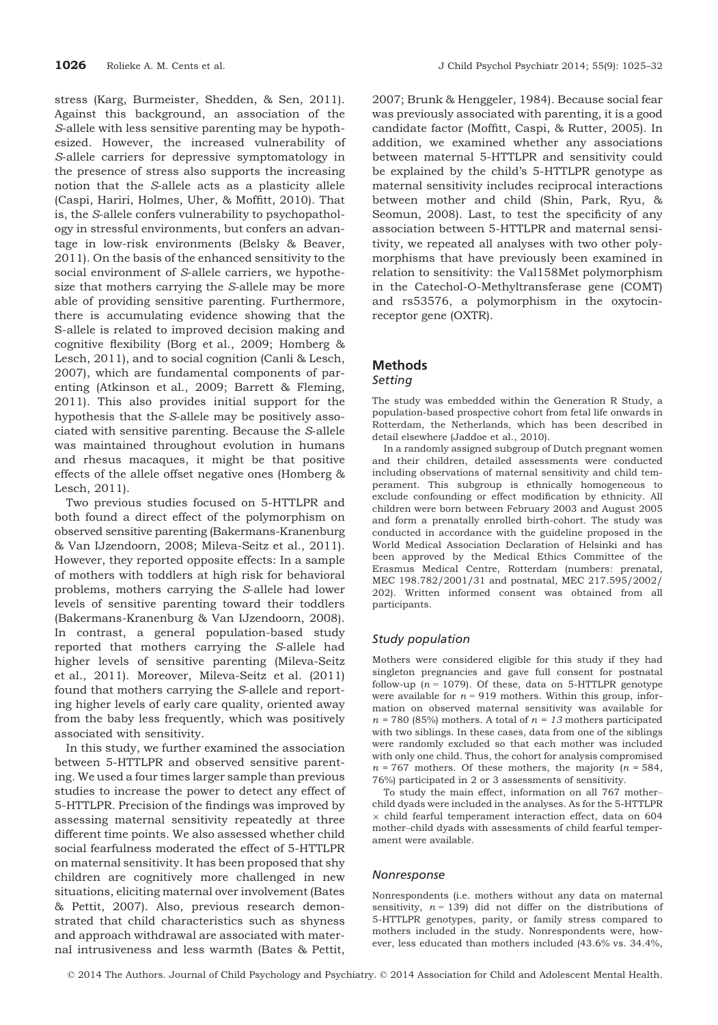stress (Karg, Burmeister, Shedden, & Sen, 2011). Against this background, an association of the S-allele with less sensitive parenting may be hypothesized. However, the increased vulnerability of S-allele carriers for depressive symptomatology in the presence of stress also supports the increasing notion that the S-allele acts as a plasticity allele (Caspi, Hariri, Holmes, Uher, & Moffitt, 2010). That is, the S-allele confers vulnerability to psychopathology in stressful environments, but confers an advantage in low-risk environments (Belsky & Beaver, 2011). On the basis of the enhanced sensitivity to the social environment of S-allele carriers, we hypothesize that mothers carrying the S-allele may be more able of providing sensitive parenting. Furthermore, there is accumulating evidence showing that the S-allele is related to improved decision making and cognitive flexibility (Borg et al., 2009; Homberg & Lesch, 2011), and to social cognition (Canli & Lesch, 2007), which are fundamental components of parenting (Atkinson et al., 2009; Barrett & Fleming, 2011). This also provides initial support for the hypothesis that the S-allele may be positively associated with sensitive parenting. Because the S-allele was maintained throughout evolution in humans and rhesus macaques, it might be that positive effects of the allele offset negative ones (Homberg & Lesch, 2011).

Two previous studies focused on 5-HTTLPR and both found a direct effect of the polymorphism on observed sensitive parenting (Bakermans-Kranenburg & Van IJzendoorn, 2008; Mileva-Seitz et al., 2011). However, they reported opposite effects: In a sample of mothers with toddlers at high risk for behavioral problems, mothers carrying the S-allele had lower levels of sensitive parenting toward their toddlers (Bakermans-Kranenburg & Van IJzendoorn, 2008). In contrast, a general population-based study reported that mothers carrying the S-allele had higher levels of sensitive parenting (Mileva-Seitz et al., 2011). Moreover, Mileva-Seitz et al. (2011) found that mothers carrying the S-allele and reporting higher levels of early care quality, oriented away from the baby less frequently, which was positively associated with sensitivity.

In this study, we further examined the association between 5-HTTLPR and observed sensitive parenting. We used a four times larger sample than previous studies to increase the power to detect any effect of 5-HTTLPR. Precision of the findings was improved by assessing maternal sensitivity repeatedly at three different time points. We also assessed whether child social fearfulness moderated the effect of 5-HTTLPR on maternal sensitivity. It has been proposed that shy children are cognitively more challenged in new situations, eliciting maternal over involvement (Bates & Pettit, 2007). Also, previous research demonstrated that child characteristics such as shyness and approach withdrawal are associated with maternal intrusiveness and less warmth (Bates & Pettit,

2007; Brunk & Henggeler, 1984). Because social fear was previously associated with parenting, it is a good candidate factor (Moffitt, Caspi, & Rutter, 2005). In addition, we examined whether any associations between maternal 5-HTTLPR and sensitivity could be explained by the child's 5-HTTLPR genotype as maternal sensitivity includes reciprocal interactions between mother and child (Shin, Park, Ryu, & Seomun, 2008). Last, to test the specificity of any association between 5-HTTLPR and maternal sensitivity, we repeated all analyses with two other polymorphisms that have previously been examined in relation to sensitivity: the Val158Met polymorphism in the Catechol-O-Methyltransferase gene (COMT) and rs53576, a polymorphism in the oxytocinreceptor gene (OXTR).

# Methods

# **Setting**

The study was embedded within the Generation R Study, a population-based prospective cohort from fetal life onwards in Rotterdam, the Netherlands, which has been described in detail elsewhere (Jaddoe et al., 2010).

In a randomly assigned subgroup of Dutch pregnant women and their children, detailed assessments were conducted including observations of maternal sensitivity and child temperament. This subgroup is ethnically homogeneous to exclude confounding or effect modification by ethnicity. All children were born between February 2003 and August 2005 and form a prenatally enrolled birth-cohort. The study was conducted in accordance with the guideline proposed in the World Medical Association Declaration of Helsinki and has been approved by the Medical Ethics Committee of the Erasmus Medical Centre, Rotterdam (numbers: prenatal, MEC 198.782/2001/31 and postnatal, MEC 217.595/2002/ 202). Written informed consent was obtained from all participants.

## Study population

Mothers were considered eligible for this study if they had singleton pregnancies and gave full consent for postnatal follow-up ( $n = 1079$ ). Of these, data on 5-HTTLPR genotype were available for  $n = 919$  mothers. Within this group, information on observed maternal sensitivity was available for  $n = 780$  (85%) mothers. A total of  $n = 13$  mothers participated with two siblings. In these cases, data from one of the siblings were randomly excluded so that each mother was included with only one child. Thus, the cohort for analysis compromised  $n = 767$  mothers. Of these mothers, the majority  $(n = 584,$ 76%) participated in 2 or 3 assessments of sensitivity.

To study the main effect, information on all 767 mother– child dyads were included in the analyses. As for the 5-HTTLPR  $\times$  child fearful temperament interaction effect, data on 604 mother–child dyads with assessments of child fearful temperament were available.

#### Nonresponse

Nonrespondents (i.e. mothers without any data on maternal sensitivity,  $n = 139$ ) did not differ on the distributions of 5-HTTLPR genotypes, parity, or family stress compared to mothers included in the study. Nonrespondents were, however, less educated than mothers included (43.6% vs. 34.4%,

© 2014 The Authors. Journal of Child Psychology and Psychiatry. © 2014 Association for Child and Adolescent Mental Health.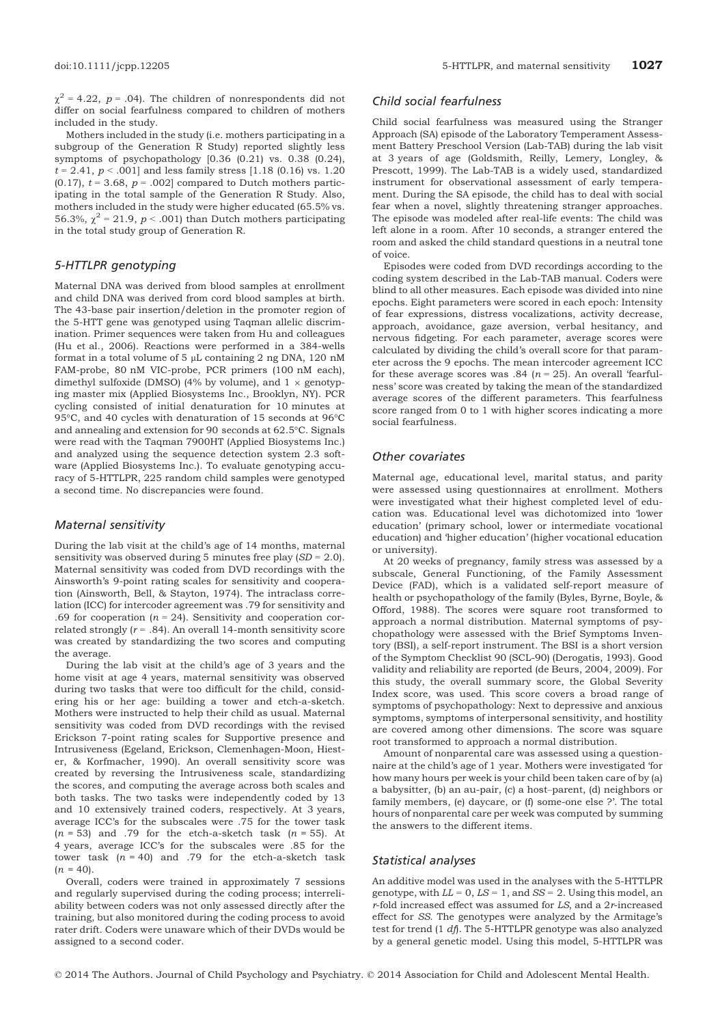$\chi^2$  = 4.22, p = .04). The children of nonrespondents did not differ on social fearfulness compared to children of mothers included in the study.

Mothers included in the study (i.e. mothers participating in a subgroup of the Generation R Study) reported slightly less symptoms of psychopathology [0.36 (0.21) vs. 0.38 (0.24),  $t = 2.41, p < .001$ ] and less family stress [1.18 (0.16) vs. 1.20 (0.17),  $t = 3.68$ ,  $p = .002$  compared to Dutch mothers participating in the total sample of the Generation R Study. Also, mothers included in the study were higher educated (65.5% vs. 56.3%,  $\chi^2$  = 21.9, p < .001) than Dutch mothers participating in the total study group of Generation R.

#### 5-HTTLPR genotyping

Maternal DNA was derived from blood samples at enrollment and child DNA was derived from cord blood samples at birth. The 43-base pair insertion/deletion in the promoter region of the 5-HTT gene was genotyped using Taqman allelic discrimination. Primer sequences were taken from Hu and colleagues (Hu et al., 2006). Reactions were performed in a 384-wells format in a total volume of  $5 \mu L$  containing 2 ng DNA, 120 nM FAM-probe, 80 nM VIC-probe, PCR primers (100 nM each), dimethyl sulfoxide (DMSO) (4% by volume), and  $1 \times$  genotyping master mix (Applied Biosystems Inc., Brooklyn, NY). PCR cycling consisted of initial denaturation for 10 minutes at 95°C, and 40 cycles with denaturation of 15 seconds at 96°C and annealing and extension for 90 seconds at 62.5°C. Signals were read with the Taqman 7900HT (Applied Biosystems Inc.) and analyzed using the sequence detection system 2.3 software (Applied Biosystems Inc.). To evaluate genotyping accuracy of 5-HTTLPR, 225 random child samples were genotyped a second time. No discrepancies were found.

#### Maternal sensitivity

During the lab visit at the child's age of 14 months, maternal sensitivity was observed during 5 minutes free play  $(SD = 2.0)$ . Maternal sensitivity was coded from DVD recordings with the Ainsworth's 9-point rating scales for sensitivity and cooperation (Ainsworth, Bell, & Stayton, 1974). The intraclass correlation (ICC) for intercoder agreement was .79 for sensitivity and .69 for cooperation ( $n = 24$ ). Sensitivity and cooperation correlated strongly  $(r = .84)$ . An overall 14-month sensitivity score was created by standardizing the two scores and computing the average.

During the lab visit at the child's age of 3 years and the home visit at age 4 years, maternal sensitivity was observed during two tasks that were too difficult for the child, considering his or her age: building a tower and etch-a-sketch. Mothers were instructed to help their child as usual. Maternal sensitivity was coded from DVD recordings with the revised Erickson 7-point rating scales for Supportive presence and Intrusiveness (Egeland, Erickson, Clemenhagen-Moon, Hiester, & Korfmacher, 1990). An overall sensitivity score was created by reversing the Intrusiveness scale, standardizing the scores, and computing the average across both scales and both tasks. The two tasks were independently coded by 13 and 10 extensively trained coders, respectively. At 3 years, average ICC's for the subscales were .75 for the tower task  $(n = 53)$  and .79 for the etch-a-sketch task  $(n = 55)$ . At 4 years, average ICC's for the subscales were .85 for the tower task  $(n = 40)$  and .79 for the etch-a-sketch task  $(n = 40)$ .

Overall, coders were trained in approximately 7 sessions and regularly supervised during the coding process; interreliability between coders was not only assessed directly after the training, but also monitored during the coding process to avoid rater drift. Coders were unaware which of their DVDs would be assigned to a second coder.

# Child social fearfulness

Child social fearfulness was measured using the Stranger Approach (SA) episode of the Laboratory Temperament Assessment Battery Preschool Version (Lab-TAB) during the lab visit at 3 years of age (Goldsmith, Reilly, Lemery, Longley, & Prescott, 1999). The Lab-TAB is a widely used, standardized instrument for observational assessment of early temperament. During the SA episode, the child has to deal with social fear when a novel, slightly threatening stranger approaches. The episode was modeled after real-life events: The child was left alone in a room. After 10 seconds, a stranger entered the room and asked the child standard questions in a neutral tone of voice.

Episodes were coded from DVD recordings according to the coding system described in the Lab-TAB manual. Coders were blind to all other measures. Each episode was divided into nine epochs. Eight parameters were scored in each epoch: Intensity of fear expressions, distress vocalizations, activity decrease, approach, avoidance, gaze aversion, verbal hesitancy, and nervous fidgeting. For each parameter, average scores were calculated by dividing the child's overall score for that parameter across the 9 epochs. The mean intercoder agreement ICC for these average scores was .84 ( $n = 25$ ). An overall 'fearfulness' score was created by taking the mean of the standardized average scores of the different parameters. This fearfulness score ranged from 0 to 1 with higher scores indicating a more social fearfulness.

#### Other covariates

Maternal age, educational level, marital status, and parity were assessed using questionnaires at enrollment. Mothers were investigated what their highest completed level of education was. Educational level was dichotomized into 'lower education' (primary school, lower or intermediate vocational education) and 'higher education' (higher vocational education or university).

At 20 weeks of pregnancy, family stress was assessed by a subscale, General Functioning, of the Family Assessment Device (FAD), which is a validated self-report measure of health or psychopathology of the family (Byles, Byrne, Boyle, & Offord, 1988). The scores were square root transformed to approach a normal distribution. Maternal symptoms of psychopathology were assessed with the Brief Symptoms Inventory (BSI), a self-report instrument. The BSI is a short version of the Symptom Checklist 90 (SCL-90) (Derogatis, 1993). Good validity and reliability are reported (de Beurs, 2004, 2009). For this study, the overall summary score, the Global Severity Index score, was used. This score covers a broad range of symptoms of psychopathology: Next to depressive and anxious symptoms, symptoms of interpersonal sensitivity, and hostility are covered among other dimensions. The score was square root transformed to approach a normal distribution.

Amount of nonparental care was assessed using a questionnaire at the child's age of 1 year. Mothers were investigated 'for how many hours per week is your child been taken care of by (a) a babysitter, (b) an au-pair, (c) a host–parent, (d) neighbors or family members, (e) daycare, or (f) some-one else ?'. The total hours of nonparental care per week was computed by summing the answers to the different items.

# Statistical analyses

An additive model was used in the analyses with the 5-HTTLPR genotype, with  $LL = 0$ ,  $LS = 1$ , and  $SS = 2$ . Using this model, an  $r$ -fold increased effect was assumed for  $LS$ , and a  $2r$ -increased effect for SS. The genotypes were analyzed by the Armitage's test for trend (1 df). The 5-HTTLPR genotype was also analyzed by a general genetic model. Using this model, 5-HTTLPR was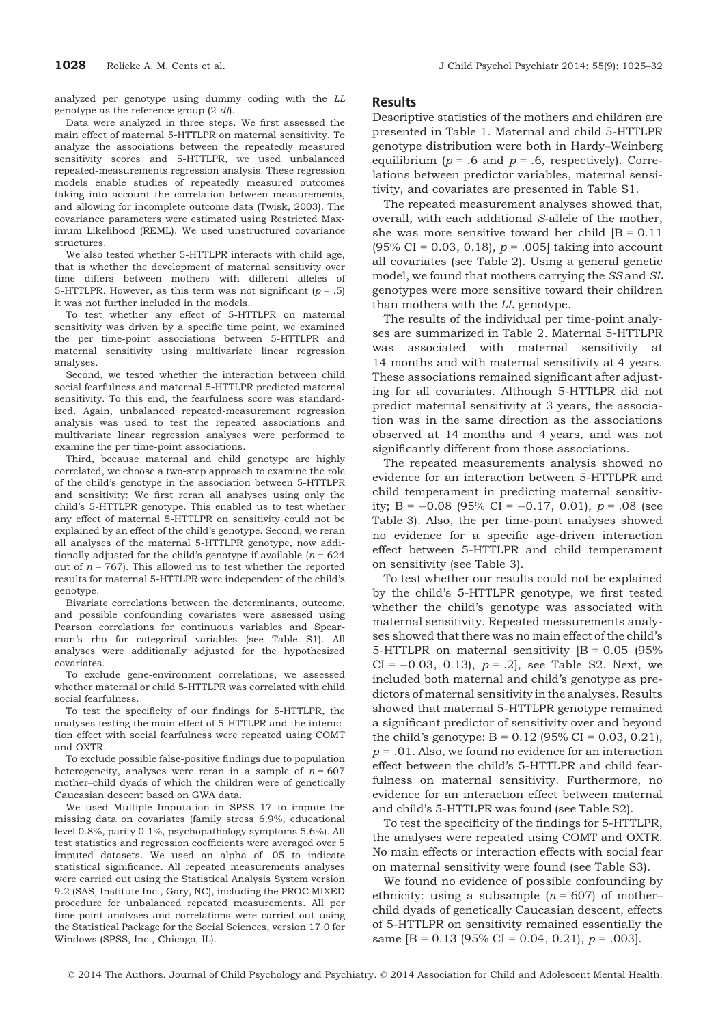analyzed per genotype using dummy coding with the LL genotype as the reference group (2 df).

Data were analyzed in three steps. We first assessed the main effect of maternal 5-HTTLPR on maternal sensitivity. To analyze the associations between the repeatedly measured sensitivity scores and 5-HTTLPR, we used unbalanced repeated-measurements regression analysis. These regression models enable studies of repeatedly measured outcomes taking into account the correlation between measurements, and allowing for incomplete outcome data (Twisk, 2003). The covariance parameters were estimated using Restricted Maximum Likelihood (REML). We used unstructured covariance structures.

We also tested whether 5-HTTLPR interacts with child age, that is whether the development of maternal sensitivity over time differs between mothers with different alleles of 5-HTTLPR. However, as this term was not significant  $(p = .5)$ it was not further included in the models.

To test whether any effect of 5-HTTLPR on maternal sensitivity was driven by a specific time point, we examined the per time-point associations between 5-HTTLPR and maternal sensitivity using multivariate linear regression analyses.

Second, we tested whether the interaction between child social fearfulness and maternal 5-HTTLPR predicted maternal sensitivity. To this end, the fearfulness score was standardized. Again, unbalanced repeated-measurement regression analysis was used to test the repeated associations and multivariate linear regression analyses were performed to examine the per time-point associations.

Third, because maternal and child genotype are highly correlated, we choose a two-step approach to examine the role of the child's genotype in the association between 5-HTTLPR and sensitivity: We first reran all analyses using only the child's 5-HTTLPR genotype. This enabled us to test whether any effect of maternal 5-HTTLPR on sensitivity could not be explained by an effect of the child's genotype. Second, we reran all analyses of the maternal 5-HTTLPR genotype, now additionally adjusted for the child's genotype if available ( $n = 624$ ) out of  $n = 767$ ). This allowed us to test whether the reported results for maternal 5-HTTLPR were independent of the child's genotype.

Bivariate correlations between the determinants, outcome, and possible confounding covariates were assessed using Pearson correlations for continuous variables and Spearman's rho for categorical variables (see Table S1). All analyses were additionally adjusted for the hypothesized covariates.

To exclude gene-environment correlations, we assessed whether maternal or child 5-HTTLPR was correlated with child social fearfulness.

To test the specificity of our findings for 5-HTTLPR, the analyses testing the main effect of 5-HTTLPR and the interaction effect with social fearfulness were repeated using COMT and OXTR.

To exclude possible false-positive findings due to population heterogeneity, analyses were reran in a sample of  $n = 607$ mother–child dyads of which the children were of genetically Caucasian descent based on GWA data.

We used Multiple Imputation in SPSS 17 to impute the missing data on covariates (family stress 6.9%, educational level 0.8%, parity 0.1%, psychopathology symptoms 5.6%). All test statistics and regression coefficients were averaged over 5 imputed datasets. We used an alpha of .05 to indicate statistical significance. All repeated measurements analyses were carried out using the Statistical Analysis System version 9.2 (SAS, Institute Inc., Gary, NC), including the PROC MIXED procedure for unbalanced repeated measurements. All per time-point analyses and correlations were carried out using the Statistical Package for the Social Sciences, version 17.0 for Windows (SPSS, Inc., Chicago, IL).

#### **Results**

Descriptive statistics of the mothers and children are presented in Table 1. Maternal and child 5-HTTLPR genotype distribution were both in Hardy–Weinberg equilibrium ( $p = .6$  and  $p = .6$ , respectively). Correlations between predictor variables, maternal sensitivity, and covariates are presented in Table S1.

The repeated measurement analyses showed that, overall, with each additional S-allele of the mother, she was more sensitive toward her child  $|B = 0.11|$ (95% CI = 0.03, 0.18),  $p = .005$  taking into account all covariates (see Table 2). Using a general genetic model, we found that mothers carrying the SS and SL genotypes were more sensitive toward their children than mothers with the LL genotype.

The results of the individual per time-point analyses are summarized in Table 2. Maternal 5-HTTLPR was associated with maternal sensitivity at 14 months and with maternal sensitivity at 4 years. These associations remained significant after adjusting for all covariates. Although 5-HTTLPR did not predict maternal sensitivity at 3 years, the association was in the same direction as the associations observed at 14 months and 4 years, and was not significantly different from those associations.

The repeated measurements analysis showed no evidence for an interaction between 5-HTTLPR and child temperament in predicting maternal sensitivity; B =  $-0.08$  (95% CI =  $-0.17$ , 0.01), p = .08 (see Table 3). Also, the per time-point analyses showed no evidence for a specific age-driven interaction effect between 5-HTTLPR and child temperament on sensitivity (see Table 3).

To test whether our results could not be explained by the child's 5-HTTLPR genotype, we first tested whether the child's genotype was associated with maternal sensitivity. Repeated measurements analyses showed that there was no main effect of the child's 5-HTTLPR on maternal sensitivity  $|B = 0.05|$  (95%  $CI = -0.03, 0.13$ ,  $p = .2$ , see Table S2. Next, we included both maternal and child's genotype as predictors of maternal sensitivity in the analyses. Results showed that maternal 5-HTTLPR genotype remained a significant predictor of sensitivity over and beyond the child's genotype:  $B = 0.12$  (95% CI = 0.03, 0.21),  $p = .01$ . Also, we found no evidence for an interaction effect between the child's 5-HTTLPR and child fearfulness on maternal sensitivity. Furthermore, no evidence for an interaction effect between maternal and child's 5-HTTLPR was found (see Table S2).

To test the specificity of the findings for 5-HTTLPR, the analyses were repeated using COMT and OXTR. No main effects or interaction effects with social fear on maternal sensitivity were found (see Table S3).

We found no evidence of possible confounding by ethnicity: using a subsample  $(n = 607)$  of motherchild dyads of genetically Caucasian descent, effects of 5-HTTLPR on sensitivity remained essentially the same  $[B = 0.13 \, (95\% \, CI = 0.04, 0.21), p = .003].$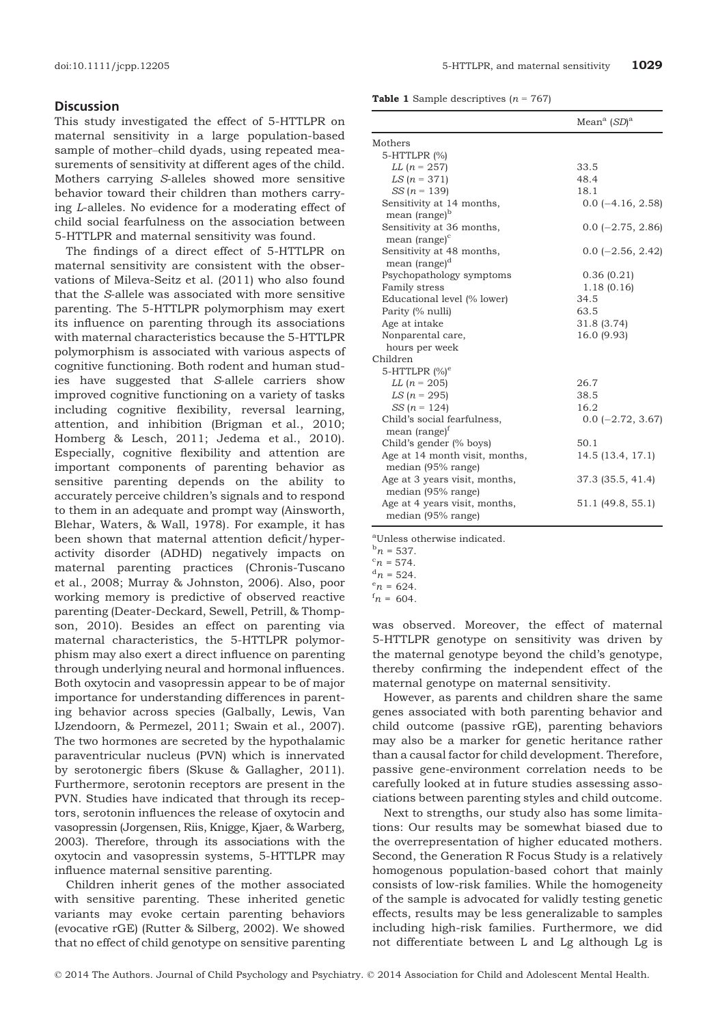# **Discussion**

This study investigated the effect of 5-HTTLPR on maternal sensitivity in a large population-based sample of mother–child dyads, using repeated measurements of sensitivity at different ages of the child. Mothers carrying S-alleles showed more sensitive behavior toward their children than mothers carrying L-alleles. No evidence for a moderating effect of child social fearfulness on the association between 5-HTTLPR and maternal sensitivity was found.

The findings of a direct effect of 5-HTTLPR on maternal sensitivity are consistent with the observations of Mileva-Seitz et al. (2011) who also found that the S-allele was associated with more sensitive parenting. The 5-HTTLPR polymorphism may exert its influence on parenting through its associations with maternal characteristics because the 5-HTTLPR polymorphism is associated with various aspects of cognitive functioning. Both rodent and human studies have suggested that S-allele carriers show improved cognitive functioning on a variety of tasks including cognitive flexibility, reversal learning, attention, and inhibition (Brigman et al., 2010; Homberg & Lesch, 2011; Jedema et al., 2010). Especially, cognitive flexibility and attention are important components of parenting behavior as sensitive parenting depends on the ability to accurately perceive children's signals and to respond to them in an adequate and prompt way (Ainsworth, Blehar, Waters, & Wall, 1978). For example, it has been shown that maternal attention deficit/hyperactivity disorder (ADHD) negatively impacts on maternal parenting practices (Chronis-Tuscano et al., 2008; Murray & Johnston, 2006). Also, poor working memory is predictive of observed reactive parenting (Deater-Deckard, Sewell, Petrill, & Thompson, 2010). Besides an effect on parenting via maternal characteristics, the 5-HTTLPR polymorphism may also exert a direct influence on parenting through underlying neural and hormonal influences. Both oxytocin and vasopressin appear to be of major importance for understanding differences in parenting behavior across species (Galbally, Lewis, Van IJzendoorn, & Permezel, 2011; Swain et al., 2007). The two hormones are secreted by the hypothalamic paraventricular nucleus (PVN) which is innervated by serotonergic fibers (Skuse & Gallagher, 2011). Furthermore, serotonin receptors are present in the PVN. Studies have indicated that through its receptors, serotonin influences the release of oxytocin and vasopressin (Jorgensen, Riis, Knigge, Kjaer, & Warberg, 2003). Therefore, through its associations with the oxytocin and vasopressin systems, 5-HTTLPR may influence maternal sensitive parenting.

Children inherit genes of the mother associated with sensitive parenting. These inherited genetic variants may evoke certain parenting behaviors (evocative rGE) (Rutter & Silberg, 2002). We showed that no effect of child genotype on sensitive parenting

**Table 1** Sample descriptives  $(n = 767)$ 

|                                | Mean <sup>a</sup> $(SD)^a$ |
|--------------------------------|----------------------------|
| Mothers                        |                            |
| 5-HTTLPR (%)                   |                            |
| <i>LL</i> $(n = 257)$          | 33.5                       |
| $LS (n = 371)$                 | 48.4                       |
| $SS (n = 139)$                 | 18.1                       |
| Sensitivity at 14 months,      | $0.0$ (-4.16, 2.58)        |
| mean (range) <sup>b</sup>      |                            |
| Sensitivity at 36 months,      | $0.0$ (-2.75, 2.86)        |
| mean (range) <sup>c</sup>      |                            |
| Sensitivity at 48 months,      | $0.0$ (-2.56, 2.42)        |
| mean (range) <sup>d</sup>      |                            |
| Psychopathology symptoms       | 0.36(0.21)                 |
| Family stress                  | 1.18(0.16)                 |
| Educational level (% lower)    | 34.5                       |
| Parity (% nulli)               | 63.5                       |
| Age at intake                  | 31.8 (3.74)                |
| Nonparental care,              | 16.0 (9.93)                |
| hours per week                 |                            |
| Children                       |                            |
| 5-HTTLPR $(\%)^e$              |                            |
| <i>LL</i> $(n = 205)$          | 26.7                       |
| $LS (n = 295)$                 | 38.5                       |
| $SS (n = 124)$                 | 16.2                       |
| Child's social fearfulness,    | $0.0$ (-2.72, 3.67)        |
| mean (range) <sup>†</sup>      |                            |
| Child's gender (% boys)        | 50.1                       |
| Age at 14 month visit, months, | 14.5 (13.4, 17.1)          |
| median (95% range)             |                            |
| Age at 3 years visit, months,  | 37.3 (35.5, 41.4)          |
| median (95% range)             |                            |
| Age at 4 years visit, months,  | 51.1 (49.8, 55.1)          |
| median (95% range)             |                            |

a Unless otherwise indicated.

- $b_n = 537.$ <br> $c_n = 574.$
- ${}^{\rm c}n$  = 574.<br> ${}^{\rm d}n$  = 524.
- ${}^{\rm a}n$  = 524.<br> ${}^{\rm e}n$  = 624
- ${}^{e}n = 624.$ <br> ${}^{f}n = 604$
- $n = 604$ .

was observed. Moreover, the effect of maternal 5-HTTLPR genotype on sensitivity was driven by the maternal genotype beyond the child's genotype, thereby confirming the independent effect of the maternal genotype on maternal sensitivity.

However, as parents and children share the same genes associated with both parenting behavior and child outcome (passive rGE), parenting behaviors may also be a marker for genetic heritance rather than a causal factor for child development. Therefore, passive gene-environment correlation needs to be carefully looked at in future studies assessing associations between parenting styles and child outcome.

Next to strengths, our study also has some limitations: Our results may be somewhat biased due to the overrepresentation of higher educated mothers. Second, the Generation R Focus Study is a relatively homogenous population-based cohort that mainly consists of low-risk families. While the homogeneity of the sample is advocated for validly testing genetic effects, results may be less generalizable to samples including high-risk families. Furthermore, we did not differentiate between L and Lg although Lg is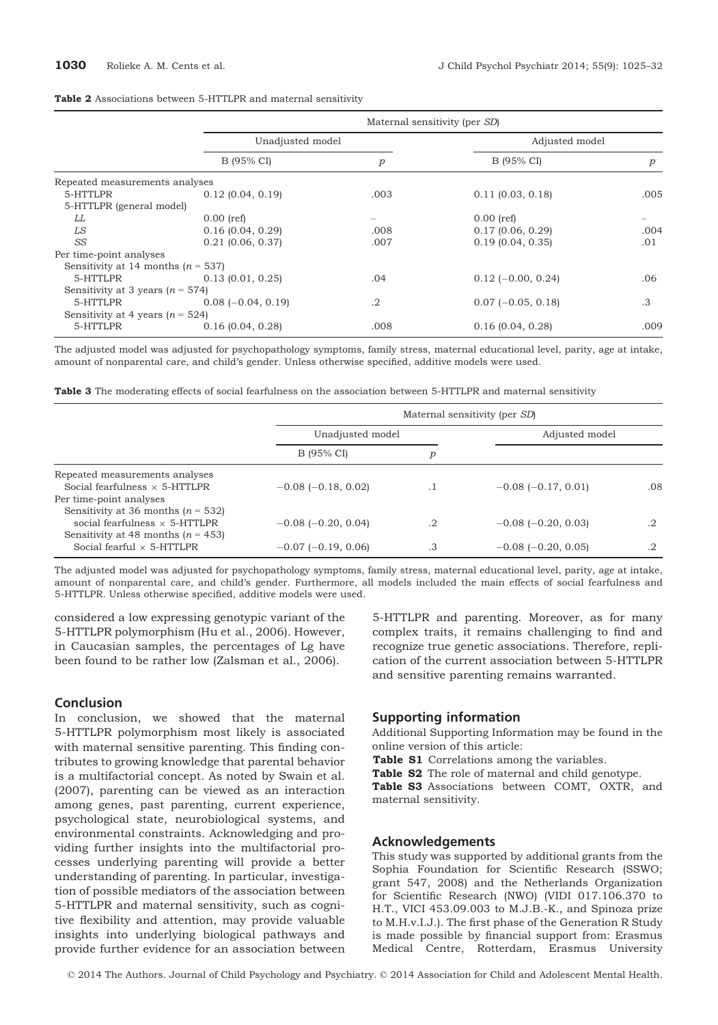|                                        |                      | Maternal sensitivity (per SD) |                      |                  |  |  |  |
|----------------------------------------|----------------------|-------------------------------|----------------------|------------------|--|--|--|
|                                        |                      | Unadjusted model              |                      | Adjusted model   |  |  |  |
|                                        | B (95% CI)           | р                             | B (95% CI)           | $\boldsymbol{p}$ |  |  |  |
| Repeated measurements analyses         |                      |                               |                      |                  |  |  |  |
| 5-HTTLPR                               | $0.12$ (0.04, 0.19)  | .003                          | $0.11$ (0.03, 0.18)  | .005             |  |  |  |
| 5-HTTLPR (general model)               |                      |                               |                      |                  |  |  |  |
| LL                                     | $0.00$ (ref)         |                               | $0.00$ (ref)         |                  |  |  |  |
| LS                                     | 0.16(0.04, 0.29)     | .008                          | $0.17$ (0.06, 0.29)  | .004             |  |  |  |
| SS                                     | $0.21$ (0.06, 0.37)  | .007                          | 0.19(0.04, 0.35)     | .01              |  |  |  |
| Per time-point analyses                |                      |                               |                      |                  |  |  |  |
| Sensitivity at 14 months ( $n = 537$ ) |                      |                               |                      |                  |  |  |  |
| 5-HTTLPR                               | 0.13(0.01, 0.25)     | .04                           | $0.12$ (-0.00, 0.24) | .06              |  |  |  |
| Sensitivity at 3 years ( $n = 574$ )   |                      |                               |                      |                  |  |  |  |
| 5-HTTLPR                               | $0.08$ (-0.04, 0.19) | $\cdot$                       | $0.07$ (-0.05, 0.18) | .3               |  |  |  |
| Sensitivity at 4 years ( $n = 524$ )   |                      |                               |                      |                  |  |  |  |
| 5-HTTLPR                               | $0.16$ (0.04, 0.28)  | .008                          | $0.16$ (0.04, 0.28)  | .009             |  |  |  |

#### Table 2 Associations between 5-HTTLPR and maternal sensitivity

The adjusted model was adjusted for psychopathology symptoms, family stress, maternal educational level, parity, age at intake, amount of nonparental care, and child's gender. Unless otherwise specified, additive models were used.

|  | <b>Table 3</b> The moderating effects of social fearfulness on the association between 5-HTTLPR and maternal sensitivity |  |  |  |  |  |  |  |  |
|--|--------------------------------------------------------------------------------------------------------------------------|--|--|--|--|--|--|--|--|
|--|--------------------------------------------------------------------------------------------------------------------------|--|--|--|--|--|--|--|--|

|                                                                                                                          | Maternal sensitivity (per SD) |    |                           |     |  |
|--------------------------------------------------------------------------------------------------------------------------|-------------------------------|----|---------------------------|-----|--|
|                                                                                                                          | Unadjusted model              |    | Adjusted model            |     |  |
|                                                                                                                          | B (95% CI)                    | р  |                           |     |  |
| Repeated measurements analyses<br>Social fearfulness $\times$ 5-HTTLPR<br>Per time-point analyses                        | $-0.08$ ( $-0.18$ , 0.02)     |    | $-0.08$ ( $-0.17, 0.01$ ) | .08 |  |
| Sensitivity at 36 months ( $n = 532$ )<br>social fearfulness $\times$ 5-HTTLPR<br>Sensitivity at 48 months ( $n = 453$ ) | $-0.08$ ( $-0.20$ , 0.04)     | .2 | $-0.08$ ( $-0.20$ , 0.03) |     |  |
| Social fearful $\times$ 5-HTTLPR                                                                                         | $-0.07$ ( $-0.19$ , 0.06)     | .3 | $-0.08$ ( $-0.20$ , 0.05) |     |  |

The adjusted model was adjusted for psychopathology symptoms, family stress, maternal educational level, parity, age at intake, amount of nonparental care, and child's gender. Furthermore, all models included the main effects of social fearfulness and 5-HTTLPR. Unless otherwise specified, additive models were used.

considered a low expressing genotypic variant of the 5-HTTLPR polymorphism (Hu et al., 2006). However, in Caucasian samples, the percentages of Lg have been found to be rather low (Zalsman et al., 2006).

## Conclusion

In conclusion, we showed that the maternal 5-HTTLPR polymorphism most likely is associated with maternal sensitive parenting. This finding contributes to growing knowledge that parental behavior is a multifactorial concept. As noted by Swain et al. (2007), parenting can be viewed as an interaction among genes, past parenting, current experience, psychological state, neurobiological systems, and environmental constraints. Acknowledging and providing further insights into the multifactorial processes underlying parenting will provide a better understanding of parenting. In particular, investigation of possible mediators of the association between 5-HTTLPR and maternal sensitivity, such as cognitive flexibility and attention, may provide valuable insights into underlying biological pathways and provide further evidence for an association between

5-HTTLPR and parenting. Moreover, as for many complex traits, it remains challenging to find and recognize true genetic associations. Therefore, replication of the current association between 5-HTTLPR and sensitive parenting remains warranted.

#### Supporting information

Additional Supporting Information may be found in the online version of this article:

Table S1 Correlations among the variables.

Table S2 The role of maternal and child genotype.

Table S3 Associations between COMT, OXTR, and maternal sensitivity.

#### Acknowledgements

This study was supported by additional grants from the Sophia Foundation for Scientific Research (SSWO; grant 547, 2008) and the Netherlands Organization for Scientific Research (NWO) (VIDI 017.106.370 to H.T., VICI 453.09.003 to M.J.B.-K., and Spinoza prize to M.H.v.I.J.). The first phase of the Generation R Study is made possible by financial support from: Erasmus Medical Centre, Rotterdam, Erasmus University

© 2014 The Authors. Journal of Child Psychology and Psychiatry. © 2014 Association for Child and Adolescent Mental Health.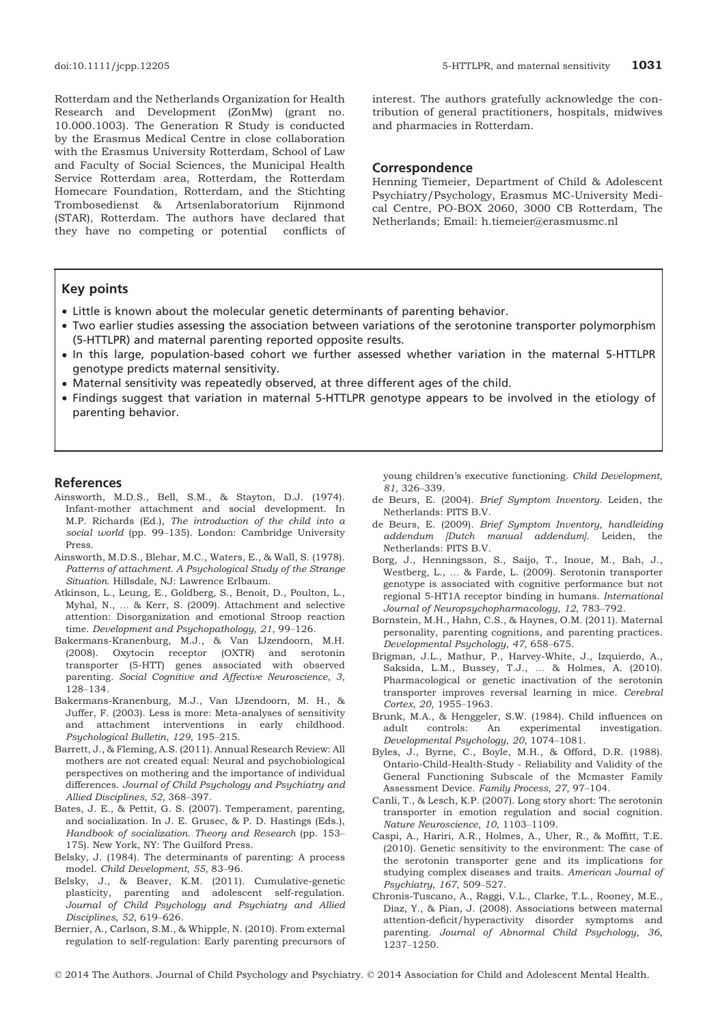Rotterdam and the Netherlands Organization for Health Research and Development (ZonMw) (grant no. 10.000.1003). The Generation R Study is conducted by the Erasmus Medical Centre in close collaboration with the Erasmus University Rotterdam, School of Law and Faculty of Social Sciences, the Municipal Health Service Rotterdam area, Rotterdam, the Rotterdam Homecare Foundation, Rotterdam, and the Stichting Trombosedienst & Artsenlaboratorium Rijnmond (STAR), Rotterdam. The authors have declared that they have no competing or potential conflicts of interest. The authors gratefully acknowledge the contribution of general practitioners, hospitals, midwives and pharmacies in Rotterdam.

#### Correspondence

Henning Tiemeier, Department of Child & Adolescent Psychiatry/Psychology, Erasmus MC-University Medical Centre, PO-BOX 2060, 3000 CB Rotterdam, The Netherlands; Email: h.tiemeier@erasmusmc.nl

# Key points

- Little is known about the molecular genetic determinants of parenting behavior.
- Two earlier studies assessing the association between variations of the serotonine transporter polymorphism (5-HTTLPR) and maternal parenting reported opposite results.
- In this large, population-based cohort we further assessed whether variation in the maternal 5-HTTLPR genotype predicts maternal sensitivity.
- Maternal sensitivity was repeatedly observed, at three different ages of the child.
- Findings suggest that variation in maternal 5-HTTLPR genotype appears to be involved in the etiology of parenting behavior.

#### References

- Ainsworth, M.D.S., Bell, S.M., & Stayton, D.J. (1974). Infant-mother attachment and social development. In M.P. Richards (Ed.), The introduction of the child into a social world (pp. 99–135). London: Cambridge University Press.
- Ainsworth, M.D.S., Blehar, M.C., Waters, E., & Wall, S. (1978). Patterns of attachment. A Psychological Study of the Strange Situation. Hillsdale, NJ: Lawrence Erlbaum.
- Atkinson, L., Leung, E., Goldberg, S., Benoit, D., Poulton, L., Myhal, N., … & Kerr, S. (2009). Attachment and selective attention: Disorganization and emotional Stroop reaction time. Development and Psychopathology, 21, 99–126.
- Bakermans-Kranenburg, M.J., & Van IJzendoorn, M.H. (2008). Oxytocin receptor (OXTR) and serotonin transporter (5-HTT) genes associated with observed parenting. Social Cognitive and Affective Neuroscience, 3, 128–134.
- Bakermans-Kranenburg, M.J., Van IJzendoorn, M. H., & Juffer, F. (2003). Less is more: Meta-analyses of sensitivity and attachment interventions in early childhood. Psychological Bulletin, 129, 195–215.
- Barrett, J., & Fleming, A.S. (2011). Annual Research Review: All mothers are not created equal: Neural and psychobiological perspectives on mothering and the importance of individual differences. Journal of Child Psychology and Psychiatry and Allied Disciplines, 52, 368–397.
- Bates, J. E., & Pettit, G. S. (2007). Temperament, parenting, and socialization. In J. E. Grusec, & P. D. Hastings (Eds.), Handbook of socialization. Theory and Research (pp. 153– 175). New York, NY: The Guilford Press.
- Belsky, J. (1984). The determinants of parenting: A process model. Child Development, 55, 83–96.
- Belsky, J., & Beaver, K.M. (2011). Cumulative-genetic plasticity, parenting and adolescent self-regulation. Journal of Child Psychology and Psychiatry and Allied Disciplines, 52, 619–626.
- Bernier, A., Carlson, S.M., & Whipple, N. (2010). From external regulation to self-regulation: Early parenting precursors of

young children's executive functioning. Child Development, 81, 326–339.

- de Beurs, E. (2004). Brief Symptom Inventory. Leiden, the Netherlands: PITS B.V.
- de Beurs, E. (2009). Brief Symptom Inventory, handleiding addendum [Dutch manual addendum]. Leiden, the Netherlands: PITS B.V.
- Borg, J., Henningsson, S., Saijo, T., Inoue, M., Bah, J., Westberg, L., … & Farde, L. (2009). Serotonin transporter genotype is associated with cognitive performance but not regional 5-HT1A receptor binding in humans. International Journal of Neuropsychopharmacology, 12, 783–792.
- Bornstein, M.H., Hahn, C.S., & Haynes, O.M. (2011). Maternal personality, parenting cognitions, and parenting practices. Developmental Psychology, 47, 658–675.
- Brigman, J.L., Mathur, P., Harvey-White, J., Izquierdo, A., Saksida, L.M., Bussey, T.J., … & Holmes, A. (2010). Pharmacological or genetic inactivation of the serotonin transporter improves reversal learning in mice. Cerebral Cortex, 20, 1955–1963.
- Brunk, M.A., & Henggeler, S.W. (1984). Child influences on adult controls: An experimental investigation. Developmental Psychology, 20, 1074–1081.
- Byles, J., Byrne, C., Boyle, M.H., & Offord, D.R. (1988). Ontario-Child-Health-Study - Reliability and Validity of the General Functioning Subscale of the Mcmaster Family Assessment Device. Family Process, 27, 97–104.
- Canli, T., & Lesch, K.P. (2007). Long story short: The serotonin transporter in emotion regulation and social cognition. Nature Neuroscience, 10, 1103–1109.
- Caspi, A., Hariri, A.R., Holmes, A., Uher, R., & Moffitt, T.E. (2010). Genetic sensitivity to the environment: The case of the serotonin transporter gene and its implications for studying complex diseases and traits. American Journal of Psychiatry, 167, 509–527.
- Chronis-Tuscano, A., Raggi, V.L., Clarke, T.L., Rooney, M.E., Diaz, Y., & Pian, J. (2008). Associations between maternal attention-deficit/hyperactivity disorder symptoms and parenting. Journal of Abnormal Child Psychology, 36, 1237–1250.

© 2014 The Authors. Journal of Child Psychology and Psychiatry. © 2014 Association for Child and Adolescent Mental Health.